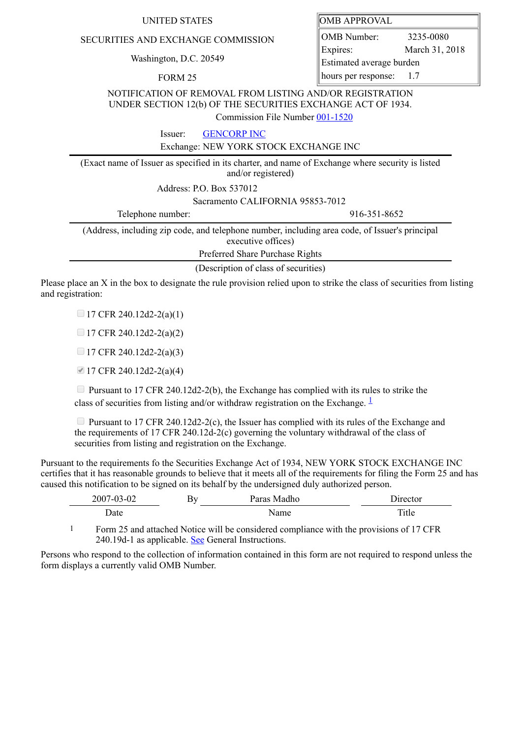| UNITED STATES | <b>OMB APPROVAL</b> |
|---------------|---------------------|
|---------------|---------------------|

## SECURITIES AND EXCHANGE COMMISSION

Washington, D.C. 20549

FORM 25

|  | OMB APPROVAL |  |
|--|--------------|--|
|--|--------------|--|

OMB Number: 3235-0080 Expires: March 31, 2018 Estimated average burden hours per response: 1.7

NOTIFICATION OF REMOVAL FROM LISTING AND/OR REGISTRATION UNDER SECTION 12(b) OF THE SECURITIES EXCHANGE ACT OF 1934.

Commission File Number [001-1520](file:///cgi-bin/browse-edgar?action=getcompany&filenum=001-1520)

Issuer: [GENCORP INC](http://www.sec.gov/cgi-bin/browse-edgar?action=getcompany&CIK=0000040888)

Exchange: NEW YORK STOCK EXCHANGE INC

(Exact name of Issuer as specified in its charter, and name of Exchange where security is listed and/or registered)

Address: P.O. Box 537012

Sacramento CALIFORNIA 95853-7012

Telephone number: 916-351-8652 (Address, including zip code, and telephone number, including area code, of Issuer's principal executive offices)

Preferred Share Purchase Rights

(Description of class of securities)

Please place an X in the box to designate the rule provision relied upon to strike the class of securities from listing and registration:

 $\Box$  17 CFR 240.12d2-2(a)(1)

 $\Box$  17 CFR 240.12d2-2(a)(2)

 $\Box$  17 CFR 240.12d2-2(a)(3)

17 CFR 240.12d2-2(a)(4)

 $\Box$  Pursuant to 17 CFR 240.12d2-2(b), the Exchange has complied with its rules to strike the class of securities from listing and/or withdraw registration on the Exchange.  $\frac{1}{2}$  $\frac{1}{2}$  $\frac{1}{2}$ 

**Pursuant to 17 CFR 240.12d2-2(c), the Issuer has complied with its rules of the Exchange and** the requirements of 17 CFR 240.12d-2(c) governing the voluntary withdrawal of the class of securities from listing and registration on the Exchange.

Pursuant to the requirements fo the Securities Exchange Act of 1934, NEW YORK STOCK EXCHANGE INC certifies that it has reasonable grounds to believe that it meets all of the requirements for filing the Form 25 and has caused this notification to be signed on its behalf by the undersigned duly authorized person.

| $3 - 02$<br>$-02$<br>$200^{-}$ | K۲ | Paras Madho | 'ırector |
|--------------------------------|----|-------------|----------|
| ⊃ate                           |    | √ame        | 1tle.    |

<span id="page-0-0"></span>1 Form 25 and attached Notice will be considered compliance with the provisions of 17 CFR 240.19d-1 as applicable. See General Instructions.

Persons who respond to the collection of information contained in this form are not required to respond unless the form displays a currently valid OMB Number.